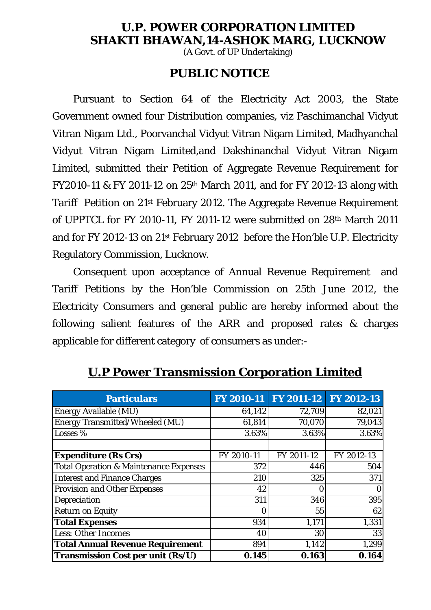### **U.P. POWER CORPORATION LIMITED SHAKTI BHAWAN,14-ASHOK MARG, LUCKNOW**

(A Govt. of UP Undertaking)

### **PUBLIC NOTICE**

Pursuant to Section 64 of the Electricity Act 2003, the State Government owned four Distribution companies, viz Paschimanchal Vidyut Vitran Nigam Ltd., Poorvanchal Vidyut Vitran Nigam Limited, Madhyanchal Vidyut Vitran Nigam Limited,and Dakshinanchal Vidyut Vitran Nigam Limited, submitted their Petition of Aggregate Revenue Requirement for FY2010-11 & FY 2011-12 on 25th March 2011, and for FY 2012-13 along with Tariff Petition on 21st February 2012. The Aggregate Revenue Requirement of UPPTCL for FY 2010-11, FY 2011-12 were submitted on 28th March 2011 and for FY 2012-13 on 21st February 2012 before the Hon'ble U.P. Electricity Regulatory Commission, Lucknow.

Consequent upon acceptance of Annual Revenue Requirement and Tariff Petitions by the Hon'ble Commission on 25th June 2012, the Electricity Consumers and general public are hereby informed about the following salient features of the ARR and proposed rates & charges applicable for different category of consumers as under:-

| <b>Particulars</b>                                |            | FY 2010-11 FY 2011-12 FY 2012-13 |            |
|---------------------------------------------------|------------|----------------------------------|------------|
| <b>Energy Available (MU)</b>                      | 64,142     | 72,709                           | 82,021     |
| <b>Energy Transmitted/Wheeled (MU)</b>            | 61,814     | 70,070                           | 79,043     |
| Losses %                                          | 3.63%      | 3.63%                            | 3.63%      |
|                                                   |            |                                  |            |
| <b>Expenditure (Rs Crs)</b>                       | FY 2010-11 | FY 2011-12                       | FY 2012-13 |
| <b>Total Operation &amp; Maintenance Expenses</b> | 372        | 446                              | 504        |
| <b>Interest and Finance Charges</b>               | 210        | 325                              | 371        |
| <b>Provision and Other Expenses</b>               | 42         |                                  | $\bf{0}$   |
| Depreciation                                      | 311        | 346                              | 395        |
| <b>Return on Equity</b>                           | 0          | 55                               | 62         |
| <b>Total Expenses</b>                             | 934        | 1,171                            | 1,331      |
| <b>Less: Other Incomes</b>                        | 40         | 30                               | 33         |
| <b>Total Annual Revenue Requirement</b>           | 894        | 1,142                            | 1,299      |
| Transmission Cost per unit (Rs/U)                 | 0.145      | 0.163                            | 0.164      |

**U.P Power Transmission Corporation Limited**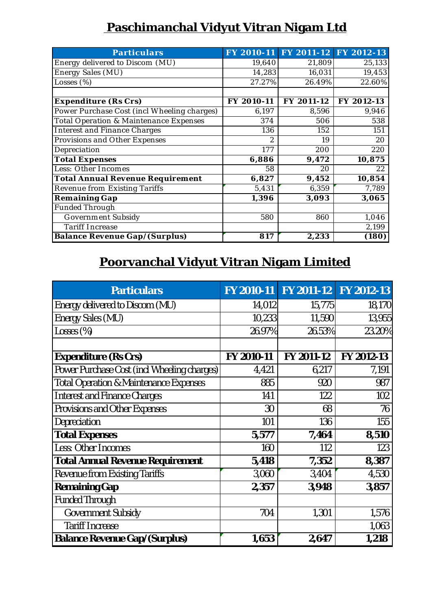### Paschimanchal Vidyut Vitran Nigam Ltd

| <b>Particulars</b>                          |                | FY 2010-11 FY 2011-12 FY 2012-13 |            |
|---------------------------------------------|----------------|----------------------------------|------------|
| Energy delivered to Discom (MU)             | 19,640         | 21,809                           | 25,133     |
| Energy Sales $(\overline{MU})$              | 14,283         | 16,031                           | 19,453     |
| Losses $(\%)$                               | 27.27%         | 26.49%                           | 22.60%     |
|                                             |                |                                  |            |
| <b>Expenditure (Rs Crs)</b>                 | FY 2010-11     | FY 2011-12                       | FY 2012-13 |
| Power Purchase Cost (incl Wheeling charges) | 6,197          | 8,596                            | 9,946      |
| Total Operation & Maintenance Expenses      | 374            | 506                              | 538        |
| <b>Interest and Finance Charges</b>         | 136            | 152                              | 151        |
| <b>Provisions and Other Expenses</b>        | $\overline{2}$ | 19                               | 20         |
| Depreciation                                | 177            | 200                              | 220        |
| <b>Total Expenses</b>                       | 6,886          | 9,472                            | 10,875     |
| Less: Other Incomes                         | 58             | 20                               | 22         |
| <b>Total Annual Revenue Requirement</b>     | 6,827          | 9,452                            | 10,854     |
| <b>Revenue from Existing Tariffs</b>        | 5,431          | 6,359                            | 7,789      |
| <b>Remaining Gap</b>                        | 1,396          | 3,093                            | 3,065      |
| <b>Funded Through</b>                       |                |                                  |            |
| <b>Government Subsidy</b>                   | 580            | 860                              | 1,046      |
| <b>Tariff Increase</b>                      |                |                                  | 2,199      |
| <b>Balance Revenue Gap/(Surplus)</b>        | 817            | 2,233                            | (180)      |

## **Poorvanchal Vidyut Vitran Nigam Limited**

| <b>Particulars</b>                                |                   | FY 2010-11 FY 2011-12 FY 2012-13 |            |
|---------------------------------------------------|-------------------|----------------------------------|------------|
| Energy delivered to Discom (MU)                   | 14,012            | 15,775                           | 18,170     |
| <b>Energy Sales (MU)</b>                          | 10,233            | 11,590                           | 13,955     |
| Losses $(\%)$                                     | 26.97%            | 26.53%                           | 23.20%     |
|                                                   |                   |                                  |            |
| <b>Expenditure (Rs Crs)</b>                       | <b>FY 2010-11</b> | <b>FY 2011-12</b>                | FY 2012-13 |
| Power Purchase Cost (incl Wheeling charges)       | 4,421             | 6,217                            | 7,191      |
| <b>Total Operation &amp; Maintenance Expenses</b> | 885               | 920                              | 987        |
| <b>Interest and Finance Charges</b>               | 141               | 122                              | 102        |
| Provisions and Other Expenses                     | 30                | 68                               | 76         |
| Depreciation                                      | 101               | 136                              | 155        |
| <b>Total Expenses</b>                             | 5,577             | 7,464                            | 8,510      |
| Less: Other Incomes                               | 160               | 112                              | 123        |
| <b>Total Annual Revenue Requirement</b>           | 5,418             | 7,352                            | 8,387      |
| Revenue from Existing Tariffs                     | 3,060             | 3,404                            | 4,530      |
| <b>Remaining Gap</b>                              | 2,357             | 3,948                            | 3,857      |
| <b>Funded Through</b>                             |                   |                                  |            |
| <b>Government Subsidy</b>                         | 704               | 1,301                            | 1,576      |
| <b>Tariff Increase</b>                            |                   |                                  | 1,063      |
| <b>Balance Revenue Gap/(Surplus)</b>              | 1,653             | 2,647                            | 1,218      |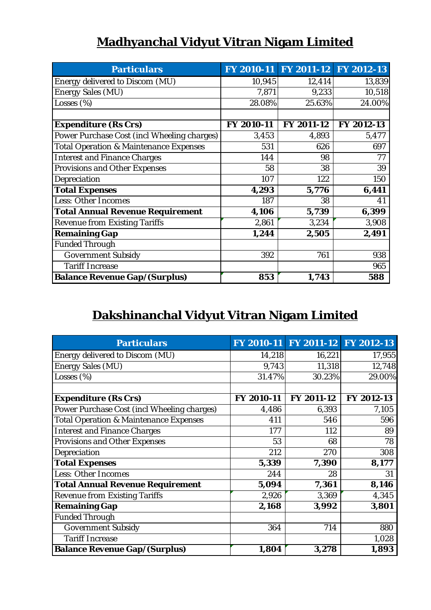| <b>Particulars</b>                                | <b>FY 2010-11</b> | FY 2011-12 FY 2012-13 |            |
|---------------------------------------------------|-------------------|-----------------------|------------|
| Energy delivered to Discom (MU)                   | 10,945            | 12,414                | 13,839     |
| <b>Energy Sales (MU)</b>                          | 7,871             | 9,233                 | 10,518     |
| Losses (%)                                        | 28.08%            | 25.63%                | 24.00%     |
|                                                   |                   |                       |            |
| <b>Expenditure (Rs Crs)</b>                       | FY 2010-11        | FY 2011-12            | FY 2012-13 |
| Power Purchase Cost (incl Wheeling charges)       | 3,453             | 4,893                 | 5,477      |
| <b>Total Operation &amp; Maintenance Expenses</b> | 531               | 626                   | 697        |
| <b>Interest and Finance Charges</b>               | 144               | 98                    | 77         |
| <b>Provisions and Other Expenses</b>              | 58                | 38                    | 39         |
| Depreciation                                      | 107               | 122                   | 150        |
| <b>Total Expenses</b>                             | 4,293             | 5,776                 | 6,441      |
| <b>Less: Other Incomes</b>                        | 187               | 38                    | 41         |
| <b>Total Annual Revenue Requirement</b>           | 4,106             | 5,739                 | 6,399      |
| <b>Revenue from Existing Tariffs</b>              | 2,861             | 3,234                 | 3,908      |
| <b>Remaining Gap</b>                              | 1,244             | 2,505                 | 2,491      |
| <b>Funded Through</b>                             |                   |                       |            |
| <b>Government Subsidy</b>                         | 392               | 761                   | 938        |
| <b>Tariff Increase</b>                            |                   |                       | 965        |
| <b>Balance Revenue Gap/(Surplus)</b>              | 853               | 1,743                 | 588        |

# **Dakshinanchal Vidyut Vitran Nigam Limited**

| <b>Particulars</b>                                | FY 2010-11 | <b>FY 2011-12</b> | FY 2012-13 |
|---------------------------------------------------|------------|-------------------|------------|
| Energy delivered to Discom (MU)                   | 14,218     | 16,221            | 17,955     |
| <b>Energy Sales (MU)</b>                          | 9,743      | 11,318            | 12,748     |
| Losses $(\%)$                                     | 31.47%     | 30.23%            | 29.00%     |
| <b>Expenditure (Rs Crs)</b>                       | FY 2010-11 | FY 2011-12        | FY 2012-13 |
| Power Purchase Cost (incl Wheeling charges)       | 4,486      | 6,393             | 7,105      |
| <b>Total Operation &amp; Maintenance Expenses</b> | 411        | 546               | 596        |
| <b>Interest and Finance Charges</b>               | 177        | 112               | 89         |
| <b>Provisions and Other Expenses</b>              | 53         | 68                | 78         |
| Depreciation                                      | 212        | 270               | 308        |
| <b>Total Expenses</b>                             | 5,339      | 7,390             | 8,177      |
| <b>Less: Other Incomes</b>                        | 244        | 28                | 31         |
| <b>Total Annual Revenue Requirement</b>           | 5,094      | 7,361             | 8,146      |
| <b>Revenue from Existing Tariffs</b>              | 2,926      | 3,369             | 4,345      |
| <b>Remaining Gap</b>                              | 2,168      | 3,992             | 3,801      |
| <b>Funded Through</b>                             |            |                   |            |
| <b>Government Subsidy</b>                         | 364        | 714               | 880        |
| <b>Tariff Increase</b>                            |            |                   | 1,028      |
| <b>Balance Revenue Gap/(Surplus)</b>              | 1,804      | 3,278             | 1,893      |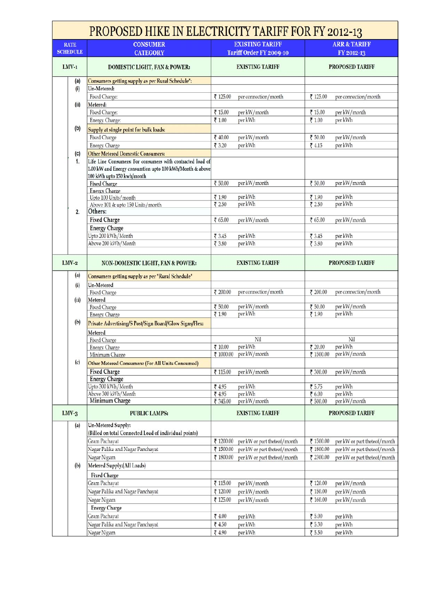| <b>EXISTING TARIFF</b><br><b>ARR &amp; TARIFF</b><br><b>CONSUMER</b><br><b>RATE</b><br><b>SCHEDULE</b><br><b>CATEGORY</b><br>Tariff Order FY 2009-10<br>FY 2012-13<br>$LMV-1$<br><b>EXISTING TARIFF</b><br><b>PROPOSED TARIFF</b><br><b>DOMESTIC LIGHT, FAN &amp; POWER:</b><br>Consumers getting supply as per Rural Schedule":<br>(a)<br>Un-Metered:<br>(i)<br>Fixed Charge:<br>₹ 125.00<br>₹ 125.00<br>per connection/month<br>per connection/month<br>Metered:<br>(ii)<br>₹ 15.00<br>Fixed Charge:<br>per kW/month<br>₹ 15.00<br>per kW/month<br>per kWh<br>₹ 1.00<br>per kWh<br>Energy Charge:<br>₹ 1.00<br>(b)<br>Supply at single point for bulk loads:<br>Fixed Charge<br>₹ 50.00<br>₹ 40.00<br>per kW/month<br>per kW/month<br><b>Energy Charge</b><br>₹ 3.20<br>per kWh<br>74.15<br>per kWh<br><b>Other Metered Domestic Consumers:</b><br>(c)<br>1.<br>Life Line Consumers: For consumers with contracted load of<br>1.00 kW and Energy consumtion upto 100 kWh/Month & above<br>100 kWh upto 150 kwh/month<br>per kW/month<br>per kW/month<br><b>Fixed Charge</b><br>₹ 50.00<br>₹ 50.00<br><b>Energy Charge</b><br>per kWh<br>per kWh<br>₹1.90<br>Upto 100 Units/month<br>₹ 1.90<br>per kWh<br>per kWh<br>₹ 2.50<br>₹ 2.50<br>Above 101 & upto 150 Units/month<br>Others:<br>2.<br><b>Fixed Charge</b><br>₹ 65.00<br>per kW/month<br>₹ 65.00<br>per kW/month<br><b>Energy Charge</b><br>Upto 200 kWh/Month<br>₹ 3.45<br>per kWh<br>per kWh<br>₹ 3.45<br>Above 200 kWh/Month<br>₹ 3.80<br>per kWh<br>₹ 3.80<br>per kWh<br>$LMV-2$<br>NON-DOMESTIC LIGHT, FAN & POWER:<br><b>EXISTING TARIFF</b><br><b>PROPOSED TARIFF</b><br>(a)<br><b>Consumers getting supply as per "Rural Schedule"</b><br><b>Un-Metered</b><br>(i)<br>per connection/month<br>per connection/month<br>Fixed Charge<br>₹ 200.00<br>₹ 200.00<br>Metered<br>(ii)<br>₹ 50.00<br>per kW/month<br>per kW/month<br>₹ 50.00<br><b>Fixed Charge</b><br>per kWh<br>per kWh<br>₹ 1.90<br>₹1.90<br><b>Energy Charge</b><br>(b)<br>Private Advertising/S Post/Sign Board/Glow Signs/Flex:<br>Metered<br>Nil<br>Nil<br>Fixed Charge<br>per kWh<br>per kWh<br>710.00<br>₹ 20.00<br><b>Energy Charge</b><br>₹ 1000.00 per kW/month<br>per kW/month<br>₹ 1500.00<br>Minimum Charge<br>(c)<br><b>Other Metered Consumers: (For All Units Consumed)</b><br><b>Fixed Charge</b><br>per kW/month<br>per kW/month<br>₹ 115.00<br>₹ 300.00<br><b>Energy Charge</b><br>Upto 300 kWh/Month<br>per kWh<br>per kWh<br>₹4.95<br>₹ 5.75<br>Above 300 kWh/Month<br>per kWh<br>₹ 6.00<br>per kWh<br>₹4.95<br>Minimum Charge<br>per kW/month<br>per kW/month<br>₹ 500.00<br>₹ 345.00<br>$LMV-3$<br><b>PUBLIC LAMPS:</b><br><b>EXISTING TARIFF</b><br><b>PROPOSED TARIFF</b><br>Un-Metered Supply:<br>(a)<br>(Billed on total Connected Load of individual points)<br>Gram Pachayat<br>₹ 1500.00<br>₹ 1200.00<br>per kW or part theteof/month<br>per kW or part theteof/month<br>Nagar Palika and Nagar Panchayat<br>₹ 1800.00<br>₹ 1500.00<br>per kW or part theteof/month<br>per kW or part theteof/month<br>Nagar Nigam<br>per kW or part theteof/month<br>₹ 2300.00<br>per kW or part theteof/month<br>₹ 1800.00<br>Metered Supply:(All Loads)<br>(b)<br><b>Fixed Charge</b><br>Gram Pachayat<br>₹ 115.00<br>per kW/month<br>₹ 120.00<br>per kW/month<br>Nagar Palika and Nagar Panchayat<br>₹ 120.00<br>₹ 150.00<br>per kW/month<br>per kW/month<br>₹ 125.00<br>per kW/month<br>₹ 160.00<br>per kW/month<br>Nagar Nigam<br><b>Energy Charge</b><br>Gram Pachayat<br>₹ 5.00<br>74.00<br>per kWh<br>per kWh<br>Nagar Palika and Nagar Panchayat<br>₹ 5.30<br>₹4.50<br>per kWh<br>per kWh<br>Nagar Nigam<br>₹ 4.90<br>per kWh<br>₹ 5.50<br>per kWh | <b>PROPOSED HIKE IN ELECTRICITY TARIFF FOR FY 2012-13</b> |  |  |  |  |  |
|-----------------------------------------------------------------------------------------------------------------------------------------------------------------------------------------------------------------------------------------------------------------------------------------------------------------------------------------------------------------------------------------------------------------------------------------------------------------------------------------------------------------------------------------------------------------------------------------------------------------------------------------------------------------------------------------------------------------------------------------------------------------------------------------------------------------------------------------------------------------------------------------------------------------------------------------------------------------------------------------------------------------------------------------------------------------------------------------------------------------------------------------------------------------------------------------------------------------------------------------------------------------------------------------------------------------------------------------------------------------------------------------------------------------------------------------------------------------------------------------------------------------------------------------------------------------------------------------------------------------------------------------------------------------------------------------------------------------------------------------------------------------------------------------------------------------------------------------------------------------------------------------------------------------------------------------------------------------------------------------------------------------------------------------------------------------------------------------------------------------------------------------------------------------------------------------------------------------------------------------------------------------------------------------------------------------------------------------------------------------------------------------------------------------------------------------------------------------------------------------------------------------------------------------------------------------------------------------------------------------------------------------------------------------------------------------------------------------------------------------------------------------------------------------------------------------------------------------------------------------------------------------------------------------------------------------------------------------------------------------------------------------------------------------------------------------------------------------------------------------------------------------------------------------------------------------------------------------------------------------------------------------------------------------------------------------------------------------------------------------------------------------------------------------------------------------------------------------------------------------------------------------------------------------------------------------------------------------------------------------------------------------------------------------------------------------------------|-----------------------------------------------------------|--|--|--|--|--|
|                                                                                                                                                                                                                                                                                                                                                                                                                                                                                                                                                                                                                                                                                                                                                                                                                                                                                                                                                                                                                                                                                                                                                                                                                                                                                                                                                                                                                                                                                                                                                                                                                                                                                                                                                                                                                                                                                                                                                                                                                                                                                                                                                                                                                                                                                                                                                                                                                                                                                                                                                                                                                                                                                                                                                                                                                                                                                                                                                                                                                                                                                                                                                                                                                                                                                                                                                                                                                                                                                                                                                                                                                                                                                                     |                                                           |  |  |  |  |  |
|                                                                                                                                                                                                                                                                                                                                                                                                                                                                                                                                                                                                                                                                                                                                                                                                                                                                                                                                                                                                                                                                                                                                                                                                                                                                                                                                                                                                                                                                                                                                                                                                                                                                                                                                                                                                                                                                                                                                                                                                                                                                                                                                                                                                                                                                                                                                                                                                                                                                                                                                                                                                                                                                                                                                                                                                                                                                                                                                                                                                                                                                                                                                                                                                                                                                                                                                                                                                                                                                                                                                                                                                                                                                                                     |                                                           |  |  |  |  |  |
|                                                                                                                                                                                                                                                                                                                                                                                                                                                                                                                                                                                                                                                                                                                                                                                                                                                                                                                                                                                                                                                                                                                                                                                                                                                                                                                                                                                                                                                                                                                                                                                                                                                                                                                                                                                                                                                                                                                                                                                                                                                                                                                                                                                                                                                                                                                                                                                                                                                                                                                                                                                                                                                                                                                                                                                                                                                                                                                                                                                                                                                                                                                                                                                                                                                                                                                                                                                                                                                                                                                                                                                                                                                                                                     |                                                           |  |  |  |  |  |
|                                                                                                                                                                                                                                                                                                                                                                                                                                                                                                                                                                                                                                                                                                                                                                                                                                                                                                                                                                                                                                                                                                                                                                                                                                                                                                                                                                                                                                                                                                                                                                                                                                                                                                                                                                                                                                                                                                                                                                                                                                                                                                                                                                                                                                                                                                                                                                                                                                                                                                                                                                                                                                                                                                                                                                                                                                                                                                                                                                                                                                                                                                                                                                                                                                                                                                                                                                                                                                                                                                                                                                                                                                                                                                     |                                                           |  |  |  |  |  |
|                                                                                                                                                                                                                                                                                                                                                                                                                                                                                                                                                                                                                                                                                                                                                                                                                                                                                                                                                                                                                                                                                                                                                                                                                                                                                                                                                                                                                                                                                                                                                                                                                                                                                                                                                                                                                                                                                                                                                                                                                                                                                                                                                                                                                                                                                                                                                                                                                                                                                                                                                                                                                                                                                                                                                                                                                                                                                                                                                                                                                                                                                                                                                                                                                                                                                                                                                                                                                                                                                                                                                                                                                                                                                                     |                                                           |  |  |  |  |  |
|                                                                                                                                                                                                                                                                                                                                                                                                                                                                                                                                                                                                                                                                                                                                                                                                                                                                                                                                                                                                                                                                                                                                                                                                                                                                                                                                                                                                                                                                                                                                                                                                                                                                                                                                                                                                                                                                                                                                                                                                                                                                                                                                                                                                                                                                                                                                                                                                                                                                                                                                                                                                                                                                                                                                                                                                                                                                                                                                                                                                                                                                                                                                                                                                                                                                                                                                                                                                                                                                                                                                                                                                                                                                                                     |                                                           |  |  |  |  |  |
|                                                                                                                                                                                                                                                                                                                                                                                                                                                                                                                                                                                                                                                                                                                                                                                                                                                                                                                                                                                                                                                                                                                                                                                                                                                                                                                                                                                                                                                                                                                                                                                                                                                                                                                                                                                                                                                                                                                                                                                                                                                                                                                                                                                                                                                                                                                                                                                                                                                                                                                                                                                                                                                                                                                                                                                                                                                                                                                                                                                                                                                                                                                                                                                                                                                                                                                                                                                                                                                                                                                                                                                                                                                                                                     |                                                           |  |  |  |  |  |
|                                                                                                                                                                                                                                                                                                                                                                                                                                                                                                                                                                                                                                                                                                                                                                                                                                                                                                                                                                                                                                                                                                                                                                                                                                                                                                                                                                                                                                                                                                                                                                                                                                                                                                                                                                                                                                                                                                                                                                                                                                                                                                                                                                                                                                                                                                                                                                                                                                                                                                                                                                                                                                                                                                                                                                                                                                                                                                                                                                                                                                                                                                                                                                                                                                                                                                                                                                                                                                                                                                                                                                                                                                                                                                     |                                                           |  |  |  |  |  |
|                                                                                                                                                                                                                                                                                                                                                                                                                                                                                                                                                                                                                                                                                                                                                                                                                                                                                                                                                                                                                                                                                                                                                                                                                                                                                                                                                                                                                                                                                                                                                                                                                                                                                                                                                                                                                                                                                                                                                                                                                                                                                                                                                                                                                                                                                                                                                                                                                                                                                                                                                                                                                                                                                                                                                                                                                                                                                                                                                                                                                                                                                                                                                                                                                                                                                                                                                                                                                                                                                                                                                                                                                                                                                                     |                                                           |  |  |  |  |  |
|                                                                                                                                                                                                                                                                                                                                                                                                                                                                                                                                                                                                                                                                                                                                                                                                                                                                                                                                                                                                                                                                                                                                                                                                                                                                                                                                                                                                                                                                                                                                                                                                                                                                                                                                                                                                                                                                                                                                                                                                                                                                                                                                                                                                                                                                                                                                                                                                                                                                                                                                                                                                                                                                                                                                                                                                                                                                                                                                                                                                                                                                                                                                                                                                                                                                                                                                                                                                                                                                                                                                                                                                                                                                                                     |                                                           |  |  |  |  |  |
|                                                                                                                                                                                                                                                                                                                                                                                                                                                                                                                                                                                                                                                                                                                                                                                                                                                                                                                                                                                                                                                                                                                                                                                                                                                                                                                                                                                                                                                                                                                                                                                                                                                                                                                                                                                                                                                                                                                                                                                                                                                                                                                                                                                                                                                                                                                                                                                                                                                                                                                                                                                                                                                                                                                                                                                                                                                                                                                                                                                                                                                                                                                                                                                                                                                                                                                                                                                                                                                                                                                                                                                                                                                                                                     |                                                           |  |  |  |  |  |
|                                                                                                                                                                                                                                                                                                                                                                                                                                                                                                                                                                                                                                                                                                                                                                                                                                                                                                                                                                                                                                                                                                                                                                                                                                                                                                                                                                                                                                                                                                                                                                                                                                                                                                                                                                                                                                                                                                                                                                                                                                                                                                                                                                                                                                                                                                                                                                                                                                                                                                                                                                                                                                                                                                                                                                                                                                                                                                                                                                                                                                                                                                                                                                                                                                                                                                                                                                                                                                                                                                                                                                                                                                                                                                     |                                                           |  |  |  |  |  |
|                                                                                                                                                                                                                                                                                                                                                                                                                                                                                                                                                                                                                                                                                                                                                                                                                                                                                                                                                                                                                                                                                                                                                                                                                                                                                                                                                                                                                                                                                                                                                                                                                                                                                                                                                                                                                                                                                                                                                                                                                                                                                                                                                                                                                                                                                                                                                                                                                                                                                                                                                                                                                                                                                                                                                                                                                                                                                                                                                                                                                                                                                                                                                                                                                                                                                                                                                                                                                                                                                                                                                                                                                                                                                                     |                                                           |  |  |  |  |  |
|                                                                                                                                                                                                                                                                                                                                                                                                                                                                                                                                                                                                                                                                                                                                                                                                                                                                                                                                                                                                                                                                                                                                                                                                                                                                                                                                                                                                                                                                                                                                                                                                                                                                                                                                                                                                                                                                                                                                                                                                                                                                                                                                                                                                                                                                                                                                                                                                                                                                                                                                                                                                                                                                                                                                                                                                                                                                                                                                                                                                                                                                                                                                                                                                                                                                                                                                                                                                                                                                                                                                                                                                                                                                                                     |                                                           |  |  |  |  |  |
|                                                                                                                                                                                                                                                                                                                                                                                                                                                                                                                                                                                                                                                                                                                                                                                                                                                                                                                                                                                                                                                                                                                                                                                                                                                                                                                                                                                                                                                                                                                                                                                                                                                                                                                                                                                                                                                                                                                                                                                                                                                                                                                                                                                                                                                                                                                                                                                                                                                                                                                                                                                                                                                                                                                                                                                                                                                                                                                                                                                                                                                                                                                                                                                                                                                                                                                                                                                                                                                                                                                                                                                                                                                                                                     |                                                           |  |  |  |  |  |
|                                                                                                                                                                                                                                                                                                                                                                                                                                                                                                                                                                                                                                                                                                                                                                                                                                                                                                                                                                                                                                                                                                                                                                                                                                                                                                                                                                                                                                                                                                                                                                                                                                                                                                                                                                                                                                                                                                                                                                                                                                                                                                                                                                                                                                                                                                                                                                                                                                                                                                                                                                                                                                                                                                                                                                                                                                                                                                                                                                                                                                                                                                                                                                                                                                                                                                                                                                                                                                                                                                                                                                                                                                                                                                     |                                                           |  |  |  |  |  |
|                                                                                                                                                                                                                                                                                                                                                                                                                                                                                                                                                                                                                                                                                                                                                                                                                                                                                                                                                                                                                                                                                                                                                                                                                                                                                                                                                                                                                                                                                                                                                                                                                                                                                                                                                                                                                                                                                                                                                                                                                                                                                                                                                                                                                                                                                                                                                                                                                                                                                                                                                                                                                                                                                                                                                                                                                                                                                                                                                                                                                                                                                                                                                                                                                                                                                                                                                                                                                                                                                                                                                                                                                                                                                                     |                                                           |  |  |  |  |  |
|                                                                                                                                                                                                                                                                                                                                                                                                                                                                                                                                                                                                                                                                                                                                                                                                                                                                                                                                                                                                                                                                                                                                                                                                                                                                                                                                                                                                                                                                                                                                                                                                                                                                                                                                                                                                                                                                                                                                                                                                                                                                                                                                                                                                                                                                                                                                                                                                                                                                                                                                                                                                                                                                                                                                                                                                                                                                                                                                                                                                                                                                                                                                                                                                                                                                                                                                                                                                                                                                                                                                                                                                                                                                                                     |                                                           |  |  |  |  |  |
|                                                                                                                                                                                                                                                                                                                                                                                                                                                                                                                                                                                                                                                                                                                                                                                                                                                                                                                                                                                                                                                                                                                                                                                                                                                                                                                                                                                                                                                                                                                                                                                                                                                                                                                                                                                                                                                                                                                                                                                                                                                                                                                                                                                                                                                                                                                                                                                                                                                                                                                                                                                                                                                                                                                                                                                                                                                                                                                                                                                                                                                                                                                                                                                                                                                                                                                                                                                                                                                                                                                                                                                                                                                                                                     |                                                           |  |  |  |  |  |
|                                                                                                                                                                                                                                                                                                                                                                                                                                                                                                                                                                                                                                                                                                                                                                                                                                                                                                                                                                                                                                                                                                                                                                                                                                                                                                                                                                                                                                                                                                                                                                                                                                                                                                                                                                                                                                                                                                                                                                                                                                                                                                                                                                                                                                                                                                                                                                                                                                                                                                                                                                                                                                                                                                                                                                                                                                                                                                                                                                                                                                                                                                                                                                                                                                                                                                                                                                                                                                                                                                                                                                                                                                                                                                     |                                                           |  |  |  |  |  |
|                                                                                                                                                                                                                                                                                                                                                                                                                                                                                                                                                                                                                                                                                                                                                                                                                                                                                                                                                                                                                                                                                                                                                                                                                                                                                                                                                                                                                                                                                                                                                                                                                                                                                                                                                                                                                                                                                                                                                                                                                                                                                                                                                                                                                                                                                                                                                                                                                                                                                                                                                                                                                                                                                                                                                                                                                                                                                                                                                                                                                                                                                                                                                                                                                                                                                                                                                                                                                                                                                                                                                                                                                                                                                                     |                                                           |  |  |  |  |  |
|                                                                                                                                                                                                                                                                                                                                                                                                                                                                                                                                                                                                                                                                                                                                                                                                                                                                                                                                                                                                                                                                                                                                                                                                                                                                                                                                                                                                                                                                                                                                                                                                                                                                                                                                                                                                                                                                                                                                                                                                                                                                                                                                                                                                                                                                                                                                                                                                                                                                                                                                                                                                                                                                                                                                                                                                                                                                                                                                                                                                                                                                                                                                                                                                                                                                                                                                                                                                                                                                                                                                                                                                                                                                                                     |                                                           |  |  |  |  |  |
|                                                                                                                                                                                                                                                                                                                                                                                                                                                                                                                                                                                                                                                                                                                                                                                                                                                                                                                                                                                                                                                                                                                                                                                                                                                                                                                                                                                                                                                                                                                                                                                                                                                                                                                                                                                                                                                                                                                                                                                                                                                                                                                                                                                                                                                                                                                                                                                                                                                                                                                                                                                                                                                                                                                                                                                                                                                                                                                                                                                                                                                                                                                                                                                                                                                                                                                                                                                                                                                                                                                                                                                                                                                                                                     |                                                           |  |  |  |  |  |
|                                                                                                                                                                                                                                                                                                                                                                                                                                                                                                                                                                                                                                                                                                                                                                                                                                                                                                                                                                                                                                                                                                                                                                                                                                                                                                                                                                                                                                                                                                                                                                                                                                                                                                                                                                                                                                                                                                                                                                                                                                                                                                                                                                                                                                                                                                                                                                                                                                                                                                                                                                                                                                                                                                                                                                                                                                                                                                                                                                                                                                                                                                                                                                                                                                                                                                                                                                                                                                                                                                                                                                                                                                                                                                     |                                                           |  |  |  |  |  |
|                                                                                                                                                                                                                                                                                                                                                                                                                                                                                                                                                                                                                                                                                                                                                                                                                                                                                                                                                                                                                                                                                                                                                                                                                                                                                                                                                                                                                                                                                                                                                                                                                                                                                                                                                                                                                                                                                                                                                                                                                                                                                                                                                                                                                                                                                                                                                                                                                                                                                                                                                                                                                                                                                                                                                                                                                                                                                                                                                                                                                                                                                                                                                                                                                                                                                                                                                                                                                                                                                                                                                                                                                                                                                                     |                                                           |  |  |  |  |  |
|                                                                                                                                                                                                                                                                                                                                                                                                                                                                                                                                                                                                                                                                                                                                                                                                                                                                                                                                                                                                                                                                                                                                                                                                                                                                                                                                                                                                                                                                                                                                                                                                                                                                                                                                                                                                                                                                                                                                                                                                                                                                                                                                                                                                                                                                                                                                                                                                                                                                                                                                                                                                                                                                                                                                                                                                                                                                                                                                                                                                                                                                                                                                                                                                                                                                                                                                                                                                                                                                                                                                                                                                                                                                                                     |                                                           |  |  |  |  |  |
|                                                                                                                                                                                                                                                                                                                                                                                                                                                                                                                                                                                                                                                                                                                                                                                                                                                                                                                                                                                                                                                                                                                                                                                                                                                                                                                                                                                                                                                                                                                                                                                                                                                                                                                                                                                                                                                                                                                                                                                                                                                                                                                                                                                                                                                                                                                                                                                                                                                                                                                                                                                                                                                                                                                                                                                                                                                                                                                                                                                                                                                                                                                                                                                                                                                                                                                                                                                                                                                                                                                                                                                                                                                                                                     |                                                           |  |  |  |  |  |
|                                                                                                                                                                                                                                                                                                                                                                                                                                                                                                                                                                                                                                                                                                                                                                                                                                                                                                                                                                                                                                                                                                                                                                                                                                                                                                                                                                                                                                                                                                                                                                                                                                                                                                                                                                                                                                                                                                                                                                                                                                                                                                                                                                                                                                                                                                                                                                                                                                                                                                                                                                                                                                                                                                                                                                                                                                                                                                                                                                                                                                                                                                                                                                                                                                                                                                                                                                                                                                                                                                                                                                                                                                                                                                     |                                                           |  |  |  |  |  |
|                                                                                                                                                                                                                                                                                                                                                                                                                                                                                                                                                                                                                                                                                                                                                                                                                                                                                                                                                                                                                                                                                                                                                                                                                                                                                                                                                                                                                                                                                                                                                                                                                                                                                                                                                                                                                                                                                                                                                                                                                                                                                                                                                                                                                                                                                                                                                                                                                                                                                                                                                                                                                                                                                                                                                                                                                                                                                                                                                                                                                                                                                                                                                                                                                                                                                                                                                                                                                                                                                                                                                                                                                                                                                                     |                                                           |  |  |  |  |  |
|                                                                                                                                                                                                                                                                                                                                                                                                                                                                                                                                                                                                                                                                                                                                                                                                                                                                                                                                                                                                                                                                                                                                                                                                                                                                                                                                                                                                                                                                                                                                                                                                                                                                                                                                                                                                                                                                                                                                                                                                                                                                                                                                                                                                                                                                                                                                                                                                                                                                                                                                                                                                                                                                                                                                                                                                                                                                                                                                                                                                                                                                                                                                                                                                                                                                                                                                                                                                                                                                                                                                                                                                                                                                                                     |                                                           |  |  |  |  |  |
|                                                                                                                                                                                                                                                                                                                                                                                                                                                                                                                                                                                                                                                                                                                                                                                                                                                                                                                                                                                                                                                                                                                                                                                                                                                                                                                                                                                                                                                                                                                                                                                                                                                                                                                                                                                                                                                                                                                                                                                                                                                                                                                                                                                                                                                                                                                                                                                                                                                                                                                                                                                                                                                                                                                                                                                                                                                                                                                                                                                                                                                                                                                                                                                                                                                                                                                                                                                                                                                                                                                                                                                                                                                                                                     |                                                           |  |  |  |  |  |
|                                                                                                                                                                                                                                                                                                                                                                                                                                                                                                                                                                                                                                                                                                                                                                                                                                                                                                                                                                                                                                                                                                                                                                                                                                                                                                                                                                                                                                                                                                                                                                                                                                                                                                                                                                                                                                                                                                                                                                                                                                                                                                                                                                                                                                                                                                                                                                                                                                                                                                                                                                                                                                                                                                                                                                                                                                                                                                                                                                                                                                                                                                                                                                                                                                                                                                                                                                                                                                                                                                                                                                                                                                                                                                     |                                                           |  |  |  |  |  |
|                                                                                                                                                                                                                                                                                                                                                                                                                                                                                                                                                                                                                                                                                                                                                                                                                                                                                                                                                                                                                                                                                                                                                                                                                                                                                                                                                                                                                                                                                                                                                                                                                                                                                                                                                                                                                                                                                                                                                                                                                                                                                                                                                                                                                                                                                                                                                                                                                                                                                                                                                                                                                                                                                                                                                                                                                                                                                                                                                                                                                                                                                                                                                                                                                                                                                                                                                                                                                                                                                                                                                                                                                                                                                                     |                                                           |  |  |  |  |  |
|                                                                                                                                                                                                                                                                                                                                                                                                                                                                                                                                                                                                                                                                                                                                                                                                                                                                                                                                                                                                                                                                                                                                                                                                                                                                                                                                                                                                                                                                                                                                                                                                                                                                                                                                                                                                                                                                                                                                                                                                                                                                                                                                                                                                                                                                                                                                                                                                                                                                                                                                                                                                                                                                                                                                                                                                                                                                                                                                                                                                                                                                                                                                                                                                                                                                                                                                                                                                                                                                                                                                                                                                                                                                                                     |                                                           |  |  |  |  |  |
|                                                                                                                                                                                                                                                                                                                                                                                                                                                                                                                                                                                                                                                                                                                                                                                                                                                                                                                                                                                                                                                                                                                                                                                                                                                                                                                                                                                                                                                                                                                                                                                                                                                                                                                                                                                                                                                                                                                                                                                                                                                                                                                                                                                                                                                                                                                                                                                                                                                                                                                                                                                                                                                                                                                                                                                                                                                                                                                                                                                                                                                                                                                                                                                                                                                                                                                                                                                                                                                                                                                                                                                                                                                                                                     |                                                           |  |  |  |  |  |
|                                                                                                                                                                                                                                                                                                                                                                                                                                                                                                                                                                                                                                                                                                                                                                                                                                                                                                                                                                                                                                                                                                                                                                                                                                                                                                                                                                                                                                                                                                                                                                                                                                                                                                                                                                                                                                                                                                                                                                                                                                                                                                                                                                                                                                                                                                                                                                                                                                                                                                                                                                                                                                                                                                                                                                                                                                                                                                                                                                                                                                                                                                                                                                                                                                                                                                                                                                                                                                                                                                                                                                                                                                                                                                     |                                                           |  |  |  |  |  |
|                                                                                                                                                                                                                                                                                                                                                                                                                                                                                                                                                                                                                                                                                                                                                                                                                                                                                                                                                                                                                                                                                                                                                                                                                                                                                                                                                                                                                                                                                                                                                                                                                                                                                                                                                                                                                                                                                                                                                                                                                                                                                                                                                                                                                                                                                                                                                                                                                                                                                                                                                                                                                                                                                                                                                                                                                                                                                                                                                                                                                                                                                                                                                                                                                                                                                                                                                                                                                                                                                                                                                                                                                                                                                                     |                                                           |  |  |  |  |  |
|                                                                                                                                                                                                                                                                                                                                                                                                                                                                                                                                                                                                                                                                                                                                                                                                                                                                                                                                                                                                                                                                                                                                                                                                                                                                                                                                                                                                                                                                                                                                                                                                                                                                                                                                                                                                                                                                                                                                                                                                                                                                                                                                                                                                                                                                                                                                                                                                                                                                                                                                                                                                                                                                                                                                                                                                                                                                                                                                                                                                                                                                                                                                                                                                                                                                                                                                                                                                                                                                                                                                                                                                                                                                                                     |                                                           |  |  |  |  |  |
|                                                                                                                                                                                                                                                                                                                                                                                                                                                                                                                                                                                                                                                                                                                                                                                                                                                                                                                                                                                                                                                                                                                                                                                                                                                                                                                                                                                                                                                                                                                                                                                                                                                                                                                                                                                                                                                                                                                                                                                                                                                                                                                                                                                                                                                                                                                                                                                                                                                                                                                                                                                                                                                                                                                                                                                                                                                                                                                                                                                                                                                                                                                                                                                                                                                                                                                                                                                                                                                                                                                                                                                                                                                                                                     |                                                           |  |  |  |  |  |
|                                                                                                                                                                                                                                                                                                                                                                                                                                                                                                                                                                                                                                                                                                                                                                                                                                                                                                                                                                                                                                                                                                                                                                                                                                                                                                                                                                                                                                                                                                                                                                                                                                                                                                                                                                                                                                                                                                                                                                                                                                                                                                                                                                                                                                                                                                                                                                                                                                                                                                                                                                                                                                                                                                                                                                                                                                                                                                                                                                                                                                                                                                                                                                                                                                                                                                                                                                                                                                                                                                                                                                                                                                                                                                     |                                                           |  |  |  |  |  |
|                                                                                                                                                                                                                                                                                                                                                                                                                                                                                                                                                                                                                                                                                                                                                                                                                                                                                                                                                                                                                                                                                                                                                                                                                                                                                                                                                                                                                                                                                                                                                                                                                                                                                                                                                                                                                                                                                                                                                                                                                                                                                                                                                                                                                                                                                                                                                                                                                                                                                                                                                                                                                                                                                                                                                                                                                                                                                                                                                                                                                                                                                                                                                                                                                                                                                                                                                                                                                                                                                                                                                                                                                                                                                                     |                                                           |  |  |  |  |  |
|                                                                                                                                                                                                                                                                                                                                                                                                                                                                                                                                                                                                                                                                                                                                                                                                                                                                                                                                                                                                                                                                                                                                                                                                                                                                                                                                                                                                                                                                                                                                                                                                                                                                                                                                                                                                                                                                                                                                                                                                                                                                                                                                                                                                                                                                                                                                                                                                                                                                                                                                                                                                                                                                                                                                                                                                                                                                                                                                                                                                                                                                                                                                                                                                                                                                                                                                                                                                                                                                                                                                                                                                                                                                                                     |                                                           |  |  |  |  |  |
|                                                                                                                                                                                                                                                                                                                                                                                                                                                                                                                                                                                                                                                                                                                                                                                                                                                                                                                                                                                                                                                                                                                                                                                                                                                                                                                                                                                                                                                                                                                                                                                                                                                                                                                                                                                                                                                                                                                                                                                                                                                                                                                                                                                                                                                                                                                                                                                                                                                                                                                                                                                                                                                                                                                                                                                                                                                                                                                                                                                                                                                                                                                                                                                                                                                                                                                                                                                                                                                                                                                                                                                                                                                                                                     |                                                           |  |  |  |  |  |
|                                                                                                                                                                                                                                                                                                                                                                                                                                                                                                                                                                                                                                                                                                                                                                                                                                                                                                                                                                                                                                                                                                                                                                                                                                                                                                                                                                                                                                                                                                                                                                                                                                                                                                                                                                                                                                                                                                                                                                                                                                                                                                                                                                                                                                                                                                                                                                                                                                                                                                                                                                                                                                                                                                                                                                                                                                                                                                                                                                                                                                                                                                                                                                                                                                                                                                                                                                                                                                                                                                                                                                                                                                                                                                     |                                                           |  |  |  |  |  |
|                                                                                                                                                                                                                                                                                                                                                                                                                                                                                                                                                                                                                                                                                                                                                                                                                                                                                                                                                                                                                                                                                                                                                                                                                                                                                                                                                                                                                                                                                                                                                                                                                                                                                                                                                                                                                                                                                                                                                                                                                                                                                                                                                                                                                                                                                                                                                                                                                                                                                                                                                                                                                                                                                                                                                                                                                                                                                                                                                                                                                                                                                                                                                                                                                                                                                                                                                                                                                                                                                                                                                                                                                                                                                                     |                                                           |  |  |  |  |  |
|                                                                                                                                                                                                                                                                                                                                                                                                                                                                                                                                                                                                                                                                                                                                                                                                                                                                                                                                                                                                                                                                                                                                                                                                                                                                                                                                                                                                                                                                                                                                                                                                                                                                                                                                                                                                                                                                                                                                                                                                                                                                                                                                                                                                                                                                                                                                                                                                                                                                                                                                                                                                                                                                                                                                                                                                                                                                                                                                                                                                                                                                                                                                                                                                                                                                                                                                                                                                                                                                                                                                                                                                                                                                                                     |                                                           |  |  |  |  |  |
|                                                                                                                                                                                                                                                                                                                                                                                                                                                                                                                                                                                                                                                                                                                                                                                                                                                                                                                                                                                                                                                                                                                                                                                                                                                                                                                                                                                                                                                                                                                                                                                                                                                                                                                                                                                                                                                                                                                                                                                                                                                                                                                                                                                                                                                                                                                                                                                                                                                                                                                                                                                                                                                                                                                                                                                                                                                                                                                                                                                                                                                                                                                                                                                                                                                                                                                                                                                                                                                                                                                                                                                                                                                                                                     |                                                           |  |  |  |  |  |
|                                                                                                                                                                                                                                                                                                                                                                                                                                                                                                                                                                                                                                                                                                                                                                                                                                                                                                                                                                                                                                                                                                                                                                                                                                                                                                                                                                                                                                                                                                                                                                                                                                                                                                                                                                                                                                                                                                                                                                                                                                                                                                                                                                                                                                                                                                                                                                                                                                                                                                                                                                                                                                                                                                                                                                                                                                                                                                                                                                                                                                                                                                                                                                                                                                                                                                                                                                                                                                                                                                                                                                                                                                                                                                     |                                                           |  |  |  |  |  |
|                                                                                                                                                                                                                                                                                                                                                                                                                                                                                                                                                                                                                                                                                                                                                                                                                                                                                                                                                                                                                                                                                                                                                                                                                                                                                                                                                                                                                                                                                                                                                                                                                                                                                                                                                                                                                                                                                                                                                                                                                                                                                                                                                                                                                                                                                                                                                                                                                                                                                                                                                                                                                                                                                                                                                                                                                                                                                                                                                                                                                                                                                                                                                                                                                                                                                                                                                                                                                                                                                                                                                                                                                                                                                                     |                                                           |  |  |  |  |  |
|                                                                                                                                                                                                                                                                                                                                                                                                                                                                                                                                                                                                                                                                                                                                                                                                                                                                                                                                                                                                                                                                                                                                                                                                                                                                                                                                                                                                                                                                                                                                                                                                                                                                                                                                                                                                                                                                                                                                                                                                                                                                                                                                                                                                                                                                                                                                                                                                                                                                                                                                                                                                                                                                                                                                                                                                                                                                                                                                                                                                                                                                                                                                                                                                                                                                                                                                                                                                                                                                                                                                                                                                                                                                                                     |                                                           |  |  |  |  |  |
|                                                                                                                                                                                                                                                                                                                                                                                                                                                                                                                                                                                                                                                                                                                                                                                                                                                                                                                                                                                                                                                                                                                                                                                                                                                                                                                                                                                                                                                                                                                                                                                                                                                                                                                                                                                                                                                                                                                                                                                                                                                                                                                                                                                                                                                                                                                                                                                                                                                                                                                                                                                                                                                                                                                                                                                                                                                                                                                                                                                                                                                                                                                                                                                                                                                                                                                                                                                                                                                                                                                                                                                                                                                                                                     |                                                           |  |  |  |  |  |
|                                                                                                                                                                                                                                                                                                                                                                                                                                                                                                                                                                                                                                                                                                                                                                                                                                                                                                                                                                                                                                                                                                                                                                                                                                                                                                                                                                                                                                                                                                                                                                                                                                                                                                                                                                                                                                                                                                                                                                                                                                                                                                                                                                                                                                                                                                                                                                                                                                                                                                                                                                                                                                                                                                                                                                                                                                                                                                                                                                                                                                                                                                                                                                                                                                                                                                                                                                                                                                                                                                                                                                                                                                                                                                     |                                                           |  |  |  |  |  |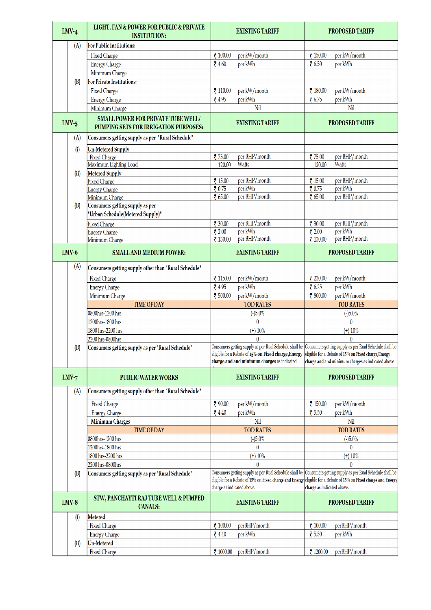| $LMV-4$ | LIGHT, FAN & POWER FOR PUBLIC & PRIVATE<br><b>INSTITUTION:</b>                     | <b>EXISTING TARIFF</b>                                  | <b>PROPOSED TARIFF</b>                                                                                        |  |  |
|---------|------------------------------------------------------------------------------------|---------------------------------------------------------|---------------------------------------------------------------------------------------------------------------|--|--|
| (A)     | <b>For Public Institutions:</b>                                                    |                                                         |                                                                                                               |  |  |
|         | <b>Fixed Charge</b>                                                                | ₹ 100.00<br>per kW/month                                | ₹ 150.00<br>per kW/month                                                                                      |  |  |
|         | <b>Energy Charge</b>                                                               | ₹4.60<br>per kWh                                        | 76.50<br>per kWh                                                                                              |  |  |
|         | Minimum Charge                                                                     |                                                         |                                                                                                               |  |  |
| (B)     | <b>For Private Institutions:</b>                                                   |                                                         |                                                                                                               |  |  |
|         | <b>Fixed Charge</b>                                                                | ₹ 110.00<br>per kW/month                                | ₹ 180.00<br>per kW/month                                                                                      |  |  |
|         | <b>Energy Charge</b>                                                               | ₹4.95<br>per kWh                                        | ₹ 6.75<br>per kWh                                                                                             |  |  |
|         | Minimum Charge                                                                     | Nil                                                     | Nil                                                                                                           |  |  |
| $LMV-5$ | <b>SMALL POWER FOR PRIVATE TUBE WELL/</b><br>PUMPING SETS FOR IRRIGATION PURPOSES: | <b>EXISTING TARIFF</b>                                  | <b>PROPOSED TARIFF</b>                                                                                        |  |  |
| (A)     | Consumers getting supply as per "Rural Schedule"                                   |                                                         |                                                                                                               |  |  |
| (i)     | <b>Un-Metered Supply</b>                                                           |                                                         |                                                                                                               |  |  |
|         | <b>Fixed Charge</b>                                                                | per BHP/month<br>₹ 75.00                                | per BHP/month<br>₹ 75.00                                                                                      |  |  |
|         | Maximum Lighting Load                                                              | Watts<br>120.00                                         | Watts<br>120.00                                                                                               |  |  |
| (ii)    | Metered Supply                                                                     |                                                         |                                                                                                               |  |  |
|         | <b>Fixed Charge</b>                                                                | per BHP/month<br>₹ 15.00<br>per kWh                     | per BHP/month<br>₹ 15.00<br>per kWh                                                                           |  |  |
|         | <b>Energy Charge</b><br>Minimum Charge                                             | ₹ 0.75<br>per BHP/month<br>₹ 65.00                      | 70.75<br>₹ $65.00$<br>per BHP/month                                                                           |  |  |
| (B)     | Consumers getting supply as per                                                    |                                                         |                                                                                                               |  |  |
|         | "Urban Schedule(Metered Supply)"                                                   |                                                         |                                                                                                               |  |  |
|         |                                                                                    | per BHP/month                                           | per BHP/month                                                                                                 |  |  |
|         | Fixed Charge                                                                       | ₹ 30.00<br>per kWh<br>72.00                             | ₹ 30.00<br>per kWh<br>$\frac{1}{2}$ 2.00                                                                      |  |  |
|         | <b>Energy Charge</b><br>Minimum Charge                                             | per BHP/month<br>₹ 130.00                               | per BHP/month<br>₹ 130.00                                                                                     |  |  |
|         |                                                                                    |                                                         |                                                                                                               |  |  |
| $LMV-6$ | <b>SMALL AND MEDIUM POWER:</b>                                                     | <b>EXISTING TARIFF</b>                                  | <b>PROPOSED TARIFF</b>                                                                                        |  |  |
| (A)     | Consumers getting supply other than "Rural Schedule"                               |                                                         |                                                                                                               |  |  |
|         | Fixed Charge                                                                       | per kW/month<br>$\bar{z}$ 115.00                        | per kW/month<br>₹ 230.00                                                                                      |  |  |
|         | <b>Energy Charge</b>                                                               | per kWh<br>₹4.95                                        | per kWh<br>76.25                                                                                              |  |  |
|         | Minimum Charge                                                                     | ₹ 500.00<br>per kW/month                                | ₹ 800.00<br>per kW/month                                                                                      |  |  |
|         | <b>TIME OF DAY</b>                                                                 | <b>TOD RATES</b>                                        | <b>TOD RATES</b>                                                                                              |  |  |
|         | 0800hrs-1200 hrs                                                                   | $(-)5.0%$                                               | $(-)5.0%$                                                                                                     |  |  |
|         | 1200hrs-1800 hrs                                                                   | $\mathbf{0}$                                            | $\mathbf{0}$                                                                                                  |  |  |
|         | 1800 hrs-2200 hrs                                                                  | $(+) 10%$                                               | $(+) 10%$                                                                                                     |  |  |
|         | 2200 hrs-0800hrs                                                                   | $\mathbf{0}$                                            | $\mathbf{0}$                                                                                                  |  |  |
| (B)     | Consumers getting supply as per "Rural Schedule"                                   |                                                         | Consumers getting supply as per Rual Schedule shall be Consumers getting supply as per Rual Schedule shall be |  |  |
|         |                                                                                    | eligible for a Rebate of 15% on Fixed charge, Energy    | eligible for a Rebate of 15% on Fixed charge, Energy                                                          |  |  |
|         |                                                                                    | charge and and minimum charges as indicated             | charge and and minimum charges as indicated above                                                             |  |  |
| $LMV-7$ | <b>PUBLIC WATER WORKS</b>                                                          | <b>EXISTING TARIFF</b>                                  | <b>PROPOSED TARIFF</b>                                                                                        |  |  |
|         | Consumers getting supply other than "Rural Schedule"                               |                                                         |                                                                                                               |  |  |
| (A)     |                                                                                    |                                                         |                                                                                                               |  |  |
|         | <b>Fixed Charge</b>                                                                | ₹ 90.00<br>per kW/month                                 | ₹ 150.00<br>per kW/month                                                                                      |  |  |
|         | <b>Energy Charge</b>                                                               | ₹4.40<br>per kWh                                        | ₹ 5.50<br>per kWh                                                                                             |  |  |
|         | <b>Minimum Charges</b>                                                             | Nil                                                     | Nil                                                                                                           |  |  |
|         | <b>TIME OF DAY</b>                                                                 | <b>TOD RATES</b>                                        | <b>TOD RATES</b>                                                                                              |  |  |
|         | 0800hrs-1200 hrs                                                                   | $(-)5.0%$                                               | $(-)5.0%$                                                                                                     |  |  |
|         | 1200hrs-1800 hrs                                                                   | $\mathbf{0}$                                            | $\mathbf{0}$                                                                                                  |  |  |
|         | 1800 hrs-2200 hrs                                                                  | $(+) 10%$                                               | $(+) 10%$                                                                                                     |  |  |
|         | 2200 hrs-0800hrs                                                                   | $\mathbf{0}$                                            | 0                                                                                                             |  |  |
| (B)     | Consumers getting supply as per "Rural Schedule"                                   | Consumers getting supply as per Rual Schedule shall be  | Consumers getting supply as per Rual Schedule shall be                                                        |  |  |
|         |                                                                                    | eligible for a Rebate of 15% on Fixed charge and Energy | eligible for a Rebate of 15% on Fixed charge and Energy                                                       |  |  |
|         |                                                                                    | charge as indicated above.                              | charge as indicated above.                                                                                    |  |  |
| $LMV-8$ | STW, PANCHAYTI RAJ TUBE WELL & PUMPED<br><b>CANALS:</b>                            | <b>EXISTING TARIFF</b><br><b>PROPOSED TARIFF</b>        |                                                                                                               |  |  |
| (i)     | <b>Metered</b>                                                                     |                                                         |                                                                                                               |  |  |
|         | <b>Fixed Charge</b>                                                                | perBHP/month<br>₹ 100.00                                | perBHP/month<br>₹ 100.00                                                                                      |  |  |
|         | <b>Energy Charge</b>                                                               | ₹4.40<br>per kWh                                        | ₹ 5.50<br>per kWh                                                                                             |  |  |
| (ii)    | <b>Un-Metered</b>                                                                  |                                                         |                                                                                                               |  |  |
|         | <b>Fixed Charge</b>                                                                | perBHP/month<br>₹ 1000.00                               | perBHP/month<br>₹ 1200.00                                                                                     |  |  |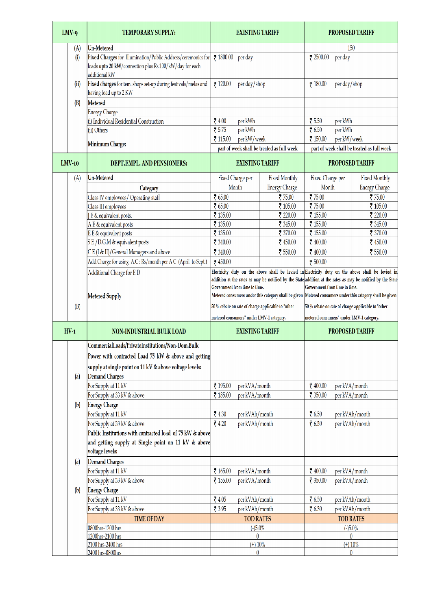| $LMV-9$  | <b>TEMPORARY SUPPLY:</b>                                                                                                                 | <b>EXISTING TARIFF</b>                                                                                        |                      | <b>PROPOSED TARIFF</b>                             |                                                                                                                                                                                                                  |  |
|----------|------------------------------------------------------------------------------------------------------------------------------------------|---------------------------------------------------------------------------------------------------------------|----------------------|----------------------------------------------------|------------------------------------------------------------------------------------------------------------------------------------------------------------------------------------------------------------------|--|
| (A)      | <b>Un-Metered</b>                                                                                                                        |                                                                                                               |                      | 150                                                |                                                                                                                                                                                                                  |  |
| (i)      | Fixed Charges for Illumination/Public Address/ceremonies for<br>loads upto 20 kW/connection plus Rs.100/kW/day for each<br>additional kW | ₹ 1800.00 per day                                                                                             |                      | per day<br>$\bar{x}$ 2500.00                       |                                                                                                                                                                                                                  |  |
| (ii)     | Fixed charges for tem. shops set-up during festivals/melas and<br>having load up to 2 KW                                                 | per day/shop<br>7120.00                                                                                       |                      | ₹ 180.00<br>per day/shop                           |                                                                                                                                                                                                                  |  |
| (B)      | Metered                                                                                                                                  |                                                                                                               |                      |                                                    |                                                                                                                                                                                                                  |  |
|          | <b>Energy Charge</b>                                                                                                                     |                                                                                                               |                      |                                                    |                                                                                                                                                                                                                  |  |
|          | (i) Individual Residential Construction                                                                                                  | ₹4.00<br>per kWh                                                                                              |                      | ₹ 5.50<br>per kWh                                  |                                                                                                                                                                                                                  |  |
|          | (ii) Others                                                                                                                              | ₹ 5.75<br>per kWh                                                                                             |                      | 76.50<br>per kWh                                   |                                                                                                                                                                                                                  |  |
|          | Minimum Charge:                                                                                                                          | ₹ 115.00<br>per kW/week                                                                                       |                      | ₹ 150.00<br>per kW/week                            |                                                                                                                                                                                                                  |  |
|          |                                                                                                                                          | part of week shall be treated as full week                                                                    |                      |                                                    | part of week shall be treated as full week                                                                                                                                                                       |  |
| $LMV-10$ | DEPT.EMPL. AND PENSIONERS:                                                                                                               | <b>EXISTING TARIFF</b>                                                                                        |                      |                                                    | <b>PROPOSED TARIFF</b>                                                                                                                                                                                           |  |
| (A)      | <b>Un-Metered</b>                                                                                                                        | Fixed Charge per                                                                                              | <b>Fixed Monthly</b> | Fixed Charge per                                   | <b>Fixed Monthly</b>                                                                                                                                                                                             |  |
|          | Category                                                                                                                                 | Month                                                                                                         | <b>Energy Charge</b> | Month                                              | <b>Energy Charge</b>                                                                                                                                                                                             |  |
|          | Class IV employees/ Operating staff                                                                                                      | ₹ 65.00                                                                                                       | ₹ 75.00              | ₹ 75.00                                            | ₹ 75.00                                                                                                                                                                                                          |  |
|          | Class III employees                                                                                                                      | ₹ 65.00                                                                                                       | ₹ 105.00             | ₹ 75.00                                            | ₹ 105.00                                                                                                                                                                                                         |  |
|          | J E & equivalent posts.                                                                                                                  | ₹ 135.00                                                                                                      | ₹ 220.00             | ₹ 155.00                                           | ₹ 220.00                                                                                                                                                                                                         |  |
|          | A E & equivalent posts                                                                                                                   | ₹ 135.00                                                                                                      | ₹ 345.00             | ₹ 155.00                                           | ₹ 345.00                                                                                                                                                                                                         |  |
|          | E E & equivalent posts                                                                                                                   | ₹ 135.00                                                                                                      | ₹ 370.00             | ₹ 155.00                                           | ₹ 370.00                                                                                                                                                                                                         |  |
|          | SE/D.G.M & equivalent posts                                                                                                              | ₹ 340.00                                                                                                      | ₹ 450.00             | ₹ 400.00                                           | ₹ 450.00                                                                                                                                                                                                         |  |
|          | CE (I & II)/General Managers and above                                                                                                   | ₹ 340.00                                                                                                      | ₹ 550.00             | ₹ 400.00                                           | ₹ 550.00                                                                                                                                                                                                         |  |
|          | Add.Charge for using A.C: Rs/month per A C (April to Sept.)                                                                              | ₹ 450.00                                                                                                      |                      | ₹ 500.00                                           |                                                                                                                                                                                                                  |  |
|          | Additional Charge for ED                                                                                                                 | Government from time to time.                                                                                 |                      | Government from time to time.                      | Electricity duty on the above shall be levied in Electricity duty on the above shall be levied in<br>addition at the rates as may be notified by the State addition at the rates as may be notified by the State |  |
|          | <b>Metered Supply</b>                                                                                                                    | Metered consumers under this category shall be given $ $ Metered consumers under this category shall be given |                      |                                                    |                                                                                                                                                                                                                  |  |
| (B)      |                                                                                                                                          | 50 % rebate on rate of charge applicable to "other                                                            |                      | 50 % rebate on rate of charge applicable to "other |                                                                                                                                                                                                                  |  |
|          |                                                                                                                                          | metered consumers" under LMV-1 category.                                                                      |                      | metered consumers" under LMV-1 category.           |                                                                                                                                                                                                                  |  |
| $HV-1$   | <b>NON-INDUSTRIAL BULK LOAD</b>                                                                                                          | <b>EXISTING TARIFF</b>                                                                                        |                      |                                                    | <b>PROPOSED TARIFF</b>                                                                                                                                                                                           |  |
|          | CommercialLoads/PrivateInstitutions/Non-Dom.Bulk                                                                                         |                                                                                                               |                      |                                                    |                                                                                                                                                                                                                  |  |
|          | Power with contracted Load 75 kW & above and getting                                                                                     |                                                                                                               |                      |                                                    |                                                                                                                                                                                                                  |  |
|          | supply at single point on 11 kV & above voltage levels:                                                                                  |                                                                                                               |                      |                                                    |                                                                                                                                                                                                                  |  |
| (a)      | Demand Charges                                                                                                                           |                                                                                                               |                      |                                                    |                                                                                                                                                                                                                  |  |
|          | For Supply at 11 kV                                                                                                                      | ₹ 195.00<br>per kVA/month                                                                                     |                      | ₹ 400.00                                           | per kVA/month                                                                                                                                                                                                    |  |
|          | For Supply at 33 kV & above                                                                                                              | ₹ 185.00<br>per kVA/month                                                                                     |                      | ₹ 350.00                                           | per kVA/month                                                                                                                                                                                                    |  |
| (b)      | <b>Energy Charge</b>                                                                                                                     |                                                                                                               |                      |                                                    |                                                                                                                                                                                                                  |  |
|          | For Supply at 11 kV                                                                                                                      | ₹4.30<br>per kVAh/month                                                                                       |                      | 76.50                                              | per kVAh/month                                                                                                                                                                                                   |  |
|          | For Supply at 33 kV & above                                                                                                              | 74.20<br>per kVAh/month                                                                                       |                      | ₹ 6.30                                             | per kVAh/month                                                                                                                                                                                                   |  |
|          | Public Institutions with contracted load of 75 kW & above                                                                                |                                                                                                               |                      |                                                    |                                                                                                                                                                                                                  |  |
|          | and getting supply at Single point on 11 kV & above<br>voltage levels:                                                                   |                                                                                                               |                      |                                                    |                                                                                                                                                                                                                  |  |
| (a)      | <b>Demand Charges</b>                                                                                                                    |                                                                                                               |                      |                                                    |                                                                                                                                                                                                                  |  |
|          | For Supply at 11 kV                                                                                                                      | ₹ 165.00<br>per kVA/month                                                                                     |                      | ₹ 400.00                                           | per kVA/month                                                                                                                                                                                                    |  |
|          | For Supply at 33 kV & above                                                                                                              | per kVA/month<br>₹ 155.00                                                                                     |                      | ₹ 350.00                                           | per kVA/month                                                                                                                                                                                                    |  |
| (b)      | <b>Energy Charge</b>                                                                                                                     |                                                                                                               |                      |                                                    |                                                                                                                                                                                                                  |  |
|          | For Supply at 11 kV                                                                                                                      | ₹4.05<br>per kVAh/month                                                                                       |                      | ₹ 6.50                                             | per kVAh/month                                                                                                                                                                                                   |  |
|          | For Supply at 33 kV & above                                                                                                              | ₹ 3.95<br>per kVAh/month                                                                                      |                      | ₹ 6.30                                             | per kVAh/month                                                                                                                                                                                                   |  |
|          | <b>TIME OF DAY</b>                                                                                                                       | <b>TOD RATES</b>                                                                                              |                      |                                                    | <b>TOD RATES</b>                                                                                                                                                                                                 |  |
|          | 0800hrs-1200 hrs<br>1200hrs-2100 hrs                                                                                                     | $(-)5.0%$<br>$\mathbf{0}$                                                                                     |                      |                                                    | $(-)5.0%$<br>$\bf{0}$                                                                                                                                                                                            |  |
|          | 2100 hrs-2400 hrs                                                                                                                        | $(+)$ 10%                                                                                                     |                      |                                                    | $(+)$ 10%                                                                                                                                                                                                        |  |
|          | 2400 hrs-0800hrs                                                                                                                         | $\mathbf{0}$                                                                                                  |                      |                                                    | $\theta$                                                                                                                                                                                                         |  |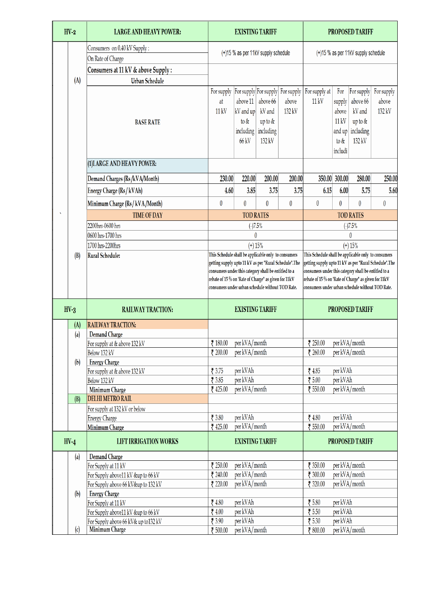| $HV-2$                      | <b>LARGE AND HEAVY POWER:</b>                               | <b>EXISTING TARIFF</b>                                                                                                                                                                                                                                                                                                                                                                                                                                 |                                                                              | <b>PROPOSED TARIFF</b>                               |                               |                                                     |                                                              |                                                                    |                               |
|-----------------------------|-------------------------------------------------------------|--------------------------------------------------------------------------------------------------------------------------------------------------------------------------------------------------------------------------------------------------------------------------------------------------------------------------------------------------------------------------------------------------------------------------------------------------------|------------------------------------------------------------------------------|------------------------------------------------------|-------------------------------|-----------------------------------------------------|--------------------------------------------------------------|--------------------------------------------------------------------|-------------------------------|
|                             | Consumers on 0.40 kV Supply:                                |                                                                                                                                                                                                                                                                                                                                                                                                                                                        |                                                                              |                                                      |                               |                                                     |                                                              |                                                                    |                               |
|                             | On Rate of Charge                                           | (+)15 % as per 11kV supply schedule                                                                                                                                                                                                                                                                                                                                                                                                                    |                                                                              |                                                      |                               | (+)15 % as per 11kV supply schedule                 |                                                              |                                                                    |                               |
|                             | Consumers at 11 kV & above Supply:                          |                                                                                                                                                                                                                                                                                                                                                                                                                                                        |                                                                              |                                                      |                               |                                                     |                                                              |                                                                    |                               |
| (A)                         | <b>Urban Schedule</b>                                       |                                                                                                                                                                                                                                                                                                                                                                                                                                                        |                                                                              |                                                      |                               |                                                     |                                                              |                                                                    |                               |
|                             | <b>BASE RATE</b>                                            | For supply<br>at<br>11 kV                                                                                                                                                                                                                                                                                                                                                                                                                              | For supply For supply<br>above 11<br>kV and up<br>to &<br>including<br>66 kV | above 66<br>kV and<br>up to &<br>including<br>132 kV | For supply<br>above<br>132 kV | For supply at<br>11 kV                              | For<br>supply<br>above<br>11 kV<br>and up<br>to &<br>includi | For supply<br>above 66<br>kV and<br>up to &<br>including<br>132 kV | For supply<br>above<br>132 kV |
|                             | (1) LARGE AND HEAVY POWER:                                  |                                                                                                                                                                                                                                                                                                                                                                                                                                                        |                                                                              |                                                      |                               |                                                     |                                                              |                                                                    |                               |
|                             | Demand Charges (Rs/kVA/Month)                               | 230.00                                                                                                                                                                                                                                                                                                                                                                                                                                                 | 220.00                                                                       | 200.00                                               | 200.00                        | 350.00                                              | 300.00                                                       | 280.00                                                             | 250.00                        |
|                             | Energy Charge (Rs / kVAh)                                   | 4.60                                                                                                                                                                                                                                                                                                                                                                                                                                                   | 3.85                                                                         | 3.75                                                 | 3.75                          | 6.15                                                | 6.00                                                         | 5.75                                                               | 5.60                          |
|                             |                                                             |                                                                                                                                                                                                                                                                                                                                                                                                                                                        |                                                                              |                                                      |                               |                                                     |                                                              |                                                                    |                               |
|                             | Minimum Charge (Rs/kVA/Month)                               | $\pmb{0}$                                                                                                                                                                                                                                                                                                                                                                                                                                              | 0                                                                            | 0                                                    | 0                             | $\pmb{0}$                                           | 0                                                            | $\boldsymbol{0}$                                                   | 0                             |
|                             | <b>TIME OF DAY</b>                                          |                                                                                                                                                                                                                                                                                                                                                                                                                                                        | <b>TOD RATES</b>                                                             |                                                      |                               |                                                     |                                                              | <b>TOD RATES</b>                                                   |                               |
|                             | 2200hrs-0600 hrs                                            |                                                                                                                                                                                                                                                                                                                                                                                                                                                        | (.)7.5%                                                                      |                                                      |                               | $( - )7.5%$                                         |                                                              |                                                                    |                               |
|                             | 0600 hrs-1700 hrs<br>1700 hrs-2200hrs                       | 0<br>$(+) 15%$                                                                                                                                                                                                                                                                                                                                                                                                                                         |                                                                              |                                                      |                               | 0<br>$(+) 15%$                                      |                                                              |                                                                    |                               |
| (B)                         | <b>Rural Schedule:</b>                                      | This Schedule shall be applicable only to consumers                                                                                                                                                                                                                                                                                                                                                                                                    |                                                                              |                                                      |                               | This Schedule shall be applicable only to consumers |                                                              |                                                                    |                               |
|                             |                                                             | getting supply upto 11 kV as per "Rural Schedule".The<br>getting supply upto 11 kV as per "Rural Schedule".The<br>consumers under this category shall be entitled to a<br>consumers under this category shall be entitled to a<br>rebate of 15 % on 'Rate of Charge" as given for 11kV<br>rebate of 15 % on 'Rate of Charge" as given for 11kV<br>consumers under urban schedule without TOD Rate.<br>consumers under urban schedule without TOD Rate. |                                                                              |                                                      |                               |                                                     |                                                              |                                                                    |                               |
| $HV-3$                      | <b>RAILWAY TRACTION:</b>                                    |                                                                                                                                                                                                                                                                                                                                                                                                                                                        | <b>EXISTING TARIFF</b>                                                       |                                                      |                               |                                                     |                                                              | <b>PROPOSED TARIFF</b>                                             |                               |
| (A)                         | <b>RAILWAY TRACTION:</b>                                    |                                                                                                                                                                                                                                                                                                                                                                                                                                                        |                                                                              |                                                      |                               |                                                     |                                                              |                                                                    |                               |
| (a)                         | <b>Demand Charge</b>                                        |                                                                                                                                                                                                                                                                                                                                                                                                                                                        |                                                                              |                                                      |                               |                                                     |                                                              |                                                                    |                               |
|                             | For supply at & above 132 kV                                | ₹ 180.00                                                                                                                                                                                                                                                                                                                                                                                                                                               | per kVA/month                                                                |                                                      |                               | ₹ 250.00                                            | per kVA/month                                                |                                                                    |                               |
|                             | Below 132 kV                                                | ₹ 200.00                                                                                                                                                                                                                                                                                                                                                                                                                                               | per kVA/month                                                                |                                                      |                               | ₹ 260.00                                            | per kVA/month                                                |                                                                    |                               |
| (b)                         | <b>Energy Charge</b><br>For supply at & above 132 kV        | ₹ 3.75                                                                                                                                                                                                                                                                                                                                                                                                                                                 | per kVAh                                                                     |                                                      |                               | ₹4.85                                               | per kVAh                                                     |                                                                    |                               |
|                             | Below 132 kV                                                | ₹ 3.85                                                                                                                                                                                                                                                                                                                                                                                                                                                 | per kVAh                                                                     |                                                      |                               | ₹ 5.00                                              | per kVAh                                                     |                                                                    |                               |
|                             | Minimum Charge                                              | ₹ 425.00                                                                                                                                                                                                                                                                                                                                                                                                                                               | per kVA/month                                                                |                                                      |                               | ₹ 550.00                                            | per kVA/month                                                |                                                                    |                               |
| (B)                         | <b>DELHI METRO RAIL</b>                                     |                                                                                                                                                                                                                                                                                                                                                                                                                                                        |                                                                              |                                                      |                               |                                                     |                                                              |                                                                    |                               |
|                             | For supply at 132 kV or below                               |                                                                                                                                                                                                                                                                                                                                                                                                                                                        |                                                                              |                                                      |                               |                                                     |                                                              |                                                                    |                               |
|                             | <b>Energy Charge</b>                                        | ₹ 3.80                                                                                                                                                                                                                                                                                                                                                                                                                                                 | per kVAh                                                                     |                                                      |                               | 74.80                                               | per kVAh                                                     |                                                                    |                               |
|                             | Minimum Charge                                              | ₹ 425.00                                                                                                                                                                                                                                                                                                                                                                                                                                               | per kVA/month                                                                |                                                      |                               | ₹ 550.00                                            | per kVA/month                                                |                                                                    |                               |
| $HV-4$                      | <b>LIFT IRRIGATION WORKS</b>                                |                                                                                                                                                                                                                                                                                                                                                                                                                                                        | <b>EXISTING TARIFF</b>                                                       |                                                      |                               |                                                     |                                                              | <b>PROPOSED TARIFF</b>                                             |                               |
| (a)                         | <b>Demand Charge</b>                                        |                                                                                                                                                                                                                                                                                                                                                                                                                                                        |                                                                              |                                                      |                               |                                                     |                                                              |                                                                    |                               |
|                             | For Supply at 11 kV                                         | ₹ 250.00                                                                                                                                                                                                                                                                                                                                                                                                                                               | per kVA/month                                                                |                                                      |                               | ₹ 350.00                                            | per kVA/month                                                |                                                                    |                               |
|                             | For Supply above11 kV &up to 66 kV                          | ₹ 240.00<br>₹ 220.00                                                                                                                                                                                                                                                                                                                                                                                                                                   | per kVA/month<br>per kVA/month                                               |                                                      |                               | ₹ 300.00<br>₹ 320.00                                | per kVA/month                                                | per kVA/month                                                      |                               |
| (b)                         | For Supply above 66 kV&up to 132 kV<br><b>Energy Charge</b> |                                                                                                                                                                                                                                                                                                                                                                                                                                                        |                                                                              |                                                      |                               |                                                     |                                                              |                                                                    |                               |
|                             | For Supply at 11 kV                                         | ₹4.80                                                                                                                                                                                                                                                                                                                                                                                                                                                  | per kVAh                                                                     |                                                      |                               | ₹ 5.80                                              | per kVAh                                                     |                                                                    |                               |
|                             | For Supply above11 kV &up to 66 kV                          | ₹4.00                                                                                                                                                                                                                                                                                                                                                                                                                                                  | per kVAh                                                                     |                                                      |                               | ₹ 5.50                                              | per kVAh                                                     |                                                                    |                               |
|                             | For Supply above 66 kV& up to132 kV                         | ₹ 3.90                                                                                                                                                                                                                                                                                                                                                                                                                                                 | per kVAh                                                                     |                                                      |                               | ₹ 5.30                                              | per kVAh                                                     |                                                                    |                               |
| $\left( \mathrm{c} \right)$ | <b>Minimum Charge</b>                                       | ₹ 500.00                                                                                                                                                                                                                                                                                                                                                                                                                                               | per kVA/month                                                                |                                                      |                               | ₹ 800.00                                            | per kVA/month                                                |                                                                    |                               |